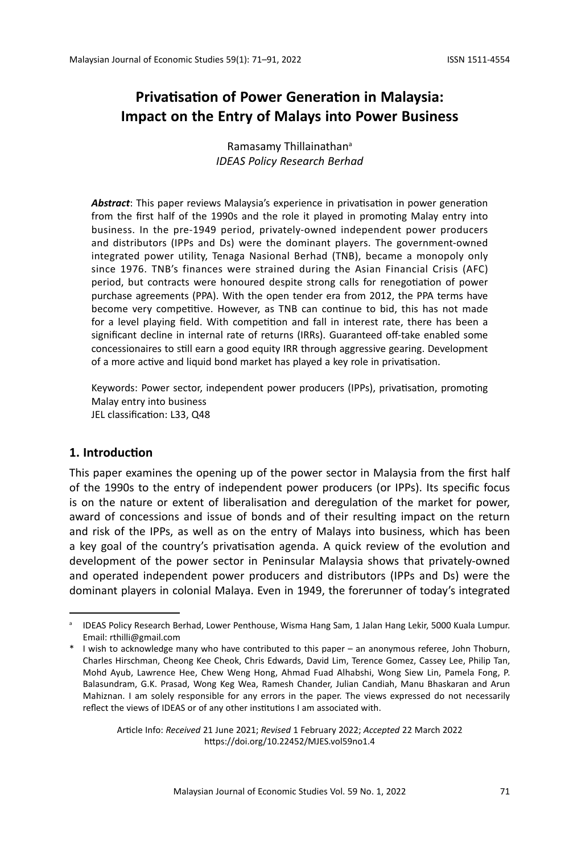# **Privatisation of Power Generation in Malaysia: Impact on the Entry of Malays into Power Business**

Ramasamy Thillainathan<sup>a</sup> *IDEAS Policy Research Berhad*

*Abstract*: This paper reviews Malaysia's experience in privatisation in power generation from the first half of the 1990s and the role it played in promoting Malay entry into business. In the pre-1949 period, privately-owned independent power producers and distributors (IPPs and Ds) were the dominant players. The government-owned integrated power utility, Tenaga Nasional Berhad (TNB), became a monopoly only since 1976. TNB's finances were strained during the Asian Financial Crisis (AFC) period, but contracts were honoured despite strong calls for renegotiation of power purchase agreements (PPA). With the open tender era from 2012, the PPA terms have become very competitive. However, as TNB can continue to bid, this has not made for a level playing field. With competition and fall in interest rate, there has been a significant decline in internal rate of returns (IRRs). Guaranteed off-take enabled some concessionaires to still earn a good equity IRR through aggressive gearing. Development of a more active and liquid bond market has played a key role in privatisation.

Keywords: Power sector, independent power producers (IPPs), privatisation, promoting Malay entry into business JEL classification: L33, Q48

#### **1. Introduction**

This paper examines the opening up of the power sector in Malaysia from the first half of the 1990s to the entry of independent power producers (or IPPs). Its specific focus is on the nature or extent of liberalisation and deregulation of the market for power, award of concessions and issue of bonds and of their resulting impact on the return and risk of the IPPs, as well as on the entry of Malays into business, which has been a key goal of the country's privatisation agenda. A quick review of the evolution and development of the power sector in Peninsular Malaysia shows that privately-owned and operated independent power producers and distributors (IPPs and Ds) were the dominant players in colonial Malaya. Even in 1949, the forerunner of today's integrated

Article Info: *Received* 21 June 2021; *Revised* 1 February 2022; *Accepted* 22 March 2022 https://doi.org/10.22452/MJES.vol59no1.4

a IDEAS Policy Research Berhad, Lower Penthouse, Wisma Hang Sam, 1 Jalan Hang Lekir, 5000 Kuala Lumpur. Email: rthilli@gmail.com

<sup>\*</sup> I wish to acknowledge many who have contributed to this paper – an anonymous referee, John Thoburn, Charles Hirschman, Cheong Kee Cheok, Chris Edwards, David Lim, Terence Gomez, Cassey Lee, Philip Tan, Mohd Ayub, Lawrence Hee, Chew Weng Hong, Ahmad Fuad Alhabshi, Wong Siew Lin, Pamela Fong, P. Balasundram, G.K. Prasad, Wong Keg Wea, Ramesh Chander, Julian Candiah, Manu Bhaskaran and Arun Mahiznan. I am solely responsible for any errors in the paper. The views expressed do not necessarily reflect the views of IDEAS or of any other institutions I am associated with.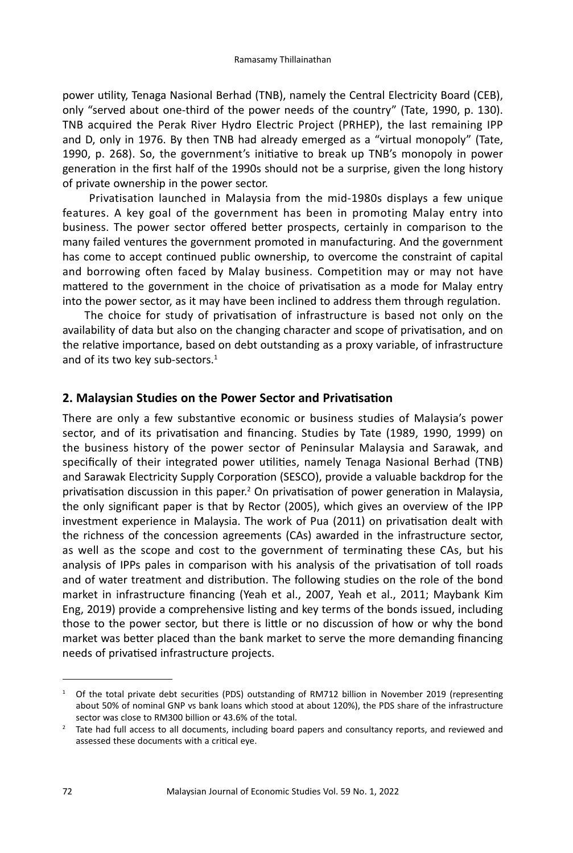power utility, Tenaga Nasional Berhad (TNB), namely the Central Electricity Board (CEB), only "served about one-third of the power needs of the country" (Tate, 1990, p. 130). TNB acquired the Perak River Hydro Electric Project (PRHEP), the last remaining IPP and D, only in 1976. By then TNB had already emerged as a "virtual monopoly" (Tate, 1990, p. 268). So, the government's initiative to break up TNB's monopoly in power generation in the first half of the 1990s should not be a surprise, given the long history of private ownership in the power sector.

 Privatisation launched in Malaysia from the mid-1980s displays a few unique features. A key goal of the government has been in promoting Malay entry into business. The power sector offered better prospects, certainly in comparison to the many failed ventures the government promoted in manufacturing. And the government has come to accept continued public ownership, to overcome the constraint of capital and borrowing often faced by Malay business. Competition may or may not have mattered to the government in the choice of privatisation as a mode for Malay entry into the power sector, as it may have been inclined to address them through regulation.

The choice for study of privatisation of infrastructure is based not only on the availability of data but also on the changing character and scope of privatisation, and on the relative importance, based on debt outstanding as a proxy variable, of infrastructure and of its two key sub-sectors.<sup>1</sup>

#### **2. Malaysian Studies on the Power Sector and Privatisation**

There are only a few substantive economic or business studies of Malaysia's power sector, and of its privatisation and financing. Studies by Tate (1989, 1990, 1999) on the business history of the power sector of Peninsular Malaysia and Sarawak, and specifically of their integrated power utilities, namely Tenaga Nasional Berhad (TNB) and Sarawak Electricity Supply Corporation (SESCO), provide a valuable backdrop for the privatisation discussion in this paper.<sup>2</sup> On privatisation of power generation in Malaysia, the only significant paper is that by Rector (2005), which gives an overview of the IPP investment experience in Malaysia. The work of Pua (2011) on privatisation dealt with the richness of the concession agreements (CAs) awarded in the infrastructure sector, as well as the scope and cost to the government of terminating these CAs, but his analysis of IPPs pales in comparison with his analysis of the privatisation of toll roads and of water treatment and distribution. The following studies on the role of the bond market in infrastructure financing (Yeah et al., 2007, Yeah et al., 2011; Maybank Kim Eng, 2019) provide a comprehensive listing and key terms of the bonds issued, including those to the power sector, but there is little or no discussion of how or why the bond market was better placed than the bank market to serve the more demanding financing needs of privatised infrastructure projects.

<sup>&</sup>lt;sup>1</sup> Of the total private debt securities (PDS) outstanding of RM712 billion in November 2019 (representing about 50% of nominal GNP vs bank loans which stood at about 120%), the PDS share of the infrastructure sector was close to RM300 billion or 43.6% of the total.

<sup>&</sup>lt;sup>2</sup> Tate had full access to all documents, including board papers and consultancy reports, and reviewed and assessed these documents with a critical eye.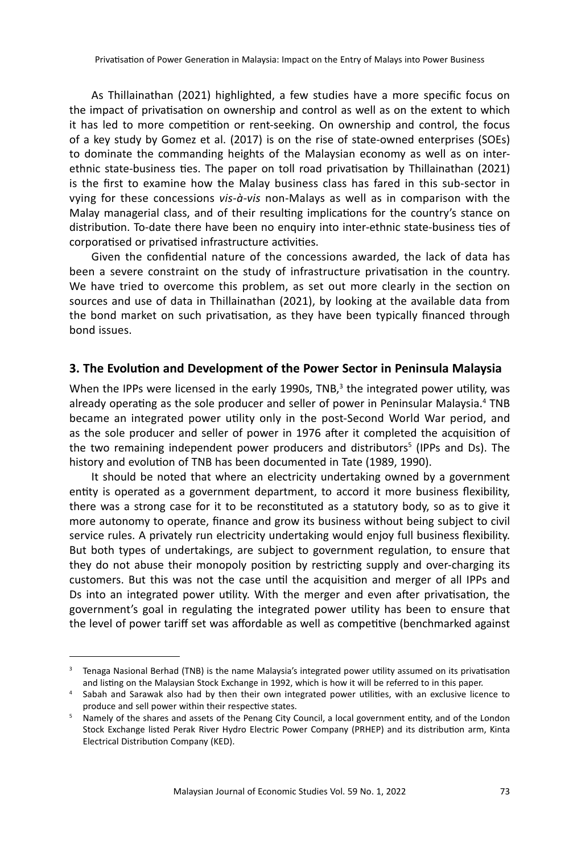As Thillainathan (2021) highlighted, a few studies have a more specific focus on the impact of privatisation on ownership and control as well as on the extent to which it has led to more competition or rent-seeking. On ownership and control, the focus of a key study by Gomez et al. (2017) is on the rise of state-owned enterprises (SOEs) to dominate the commanding heights of the Malaysian economy as well as on interethnic state-business ties. The paper on toll road privatisation by Thillainathan (2021) is the first to examine how the Malay business class has fared in this sub-sector in vying for these concessions *vis-à-vis* non-Malays as well as in comparison with the Malay managerial class, and of their resulting implications for the country's stance on distribution. To-date there have been no enquiry into inter-ethnic state-business ties of corporatised or privatised infrastructure activities.

Given the confidential nature of the concessions awarded, the lack of data has been a severe constraint on the study of infrastructure privatisation in the country. We have tried to overcome this problem, as set out more clearly in the section on sources and use of data in Thillainathan (2021), by looking at the available data from the bond market on such privatisation, as they have been typically financed through bond issues.

#### **3. The Evolution and Development of the Power Sector in Peninsula Malaysia**

When the IPPs were licensed in the early 1990s, TNB, $^3$  the integrated power utility, was already operating as the sole producer and seller of power in Peninsular Malaysia.<sup>4</sup> TNB became an integrated power utility only in the post-Second World War period, and as the sole producer and seller of power in 1976 after it completed the acquisition of the two remaining independent power producers and distributors<sup>5</sup> (IPPs and Ds). The history and evolution of TNB has been documented in Tate (1989, 1990).

It should be noted that where an electricity undertaking owned by a government entity is operated as a government department, to accord it more business flexibility, there was a strong case for it to be reconstituted as a statutory body, so as to give it more autonomy to operate, finance and grow its business without being subject to civil service rules. A privately run electricity undertaking would enjoy full business flexibility. But both types of undertakings, are subject to government regulation, to ensure that they do not abuse their monopoly position by restricting supply and over-charging its customers. But this was not the case until the acquisition and merger of all IPPs and Ds into an integrated power utility. With the merger and even after privatisation, the government's goal in regulating the integrated power utility has been to ensure that the level of power tariff set was affordable as well as competitive (benchmarked against

<sup>&</sup>lt;sup>3</sup> Tenaga Nasional Berhad (TNB) is the name Malaysia's integrated power utility assumed on its privatisation and listing on the Malaysian Stock Exchange in 1992, which is how it will be referred to in this paper.

<sup>4</sup> Sabah and Sarawak also had by then their own integrated power utilities, with an exclusive licence to produce and sell power within their respective states.

<sup>&</sup>lt;sup>5</sup> Namely of the shares and assets of the Penang City Council, a local government entity, and of the London Stock Exchange listed Perak River Hydro Electric Power Company (PRHEP) and its distribution arm, Kinta Electrical Distribution Company (KED).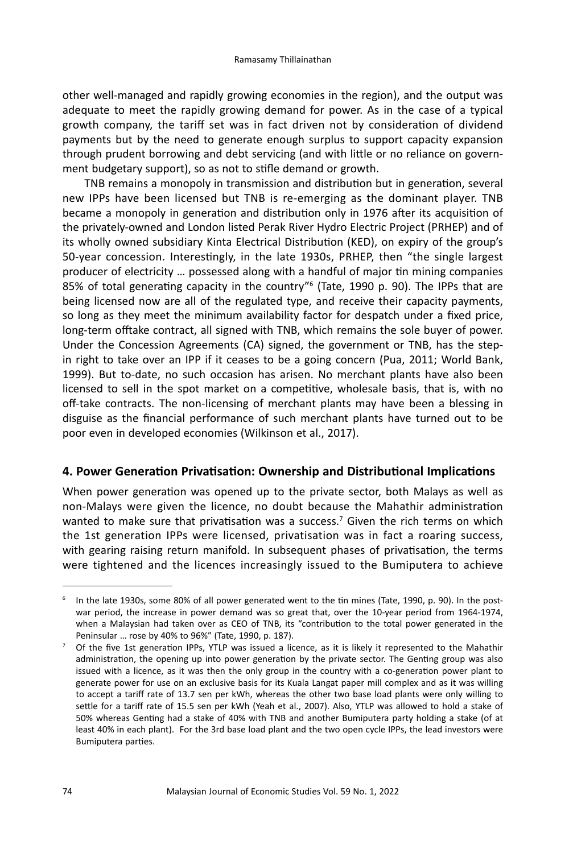other well-managed and rapidly growing economies in the region), and the output was adequate to meet the rapidly growing demand for power. As in the case of a typical growth company, the tariff set was in fact driven not by consideration of dividend payments but by the need to generate enough surplus to support capacity expansion through prudent borrowing and debt servicing (and with little or no reliance on government budgetary support), so as not to stifle demand or growth.

TNB remains a monopoly in transmission and distribution but in generation, several new IPPs have been licensed but TNB is re-emerging as the dominant player. TNB became a monopoly in generation and distribution only in 1976 after its acquisition of the privately-owned and London listed Perak River Hydro Electric Project (PRHEP) and of its wholly owned subsidiary Kinta Electrical Distribution (KED), on expiry of the group's 50-year concession. Interestingly, in the late 1930s, PRHEP, then "the single largest producer of electricity … possessed along with a handful of major tin mining companies 85% of total generating capacity in the country"<sup>6</sup> (Tate, 1990 p. 90). The IPPs that are being licensed now are all of the regulated type, and receive their capacity payments, so long as they meet the minimum availability factor for despatch under a fixed price, long-term offtake contract, all signed with TNB, which remains the sole buyer of power. Under the Concession Agreements (CA) signed, the government or TNB, has the stepin right to take over an IPP if it ceases to be a going concern (Pua, 2011; World Bank, 1999). But to-date, no such occasion has arisen. No merchant plants have also been licensed to sell in the spot market on a competitive, wholesale basis, that is, with no off-take contracts. The non-licensing of merchant plants may have been a blessing in disguise as the financial performance of such merchant plants have turned out to be poor even in developed economies (Wilkinson et al., 2017).

## **4. Power Generation Privatisation: Ownership and Distributional Implications**

When power generation was opened up to the private sector, both Malays as well as non-Malays were given the licence, no doubt because the Mahathir administration wanted to make sure that privatisation was a success.<sup>7</sup> Given the rich terms on which the 1st generation IPPs were licensed, privatisation was in fact a roaring success, with gearing raising return manifold. In subsequent phases of privatisation, the terms were tightened and the licences increasingly issued to the Bumiputera to achieve

<sup>6</sup> In the late 1930s, some 80% of all power generated went to the tin mines (Tate, 1990, p. 90). In the postwar period, the increase in power demand was so great that, over the 10-year period from 1964-1974, when a Malaysian had taken over as CEO of TNB, its "contribution to the total power generated in the Peninsular … rose by 40% to 96%" (Tate, 1990, p. 187).

<sup>7</sup> Of the five 1st generation IPPs, YTLP was issued a licence, as it is likely it represented to the Mahathir administration, the opening up into power generation by the private sector. The Genting group was also issued with a licence, as it was then the only group in the country with a co-generation power plant to generate power for use on an exclusive basis for its Kuala Langat paper mill complex and as it was willing to accept a tariff rate of 13.7 sen per kWh, whereas the other two base load plants were only willing to settle for a tariff rate of 15.5 sen per kWh (Yeah et al., 2007). Also, YTLP was allowed to hold a stake of 50% whereas Genting had a stake of 40% with TNB and another Bumiputera party holding a stake (of at least 40% in each plant). For the 3rd base load plant and the two open cycle IPPs, the lead investors were Bumiputera parties.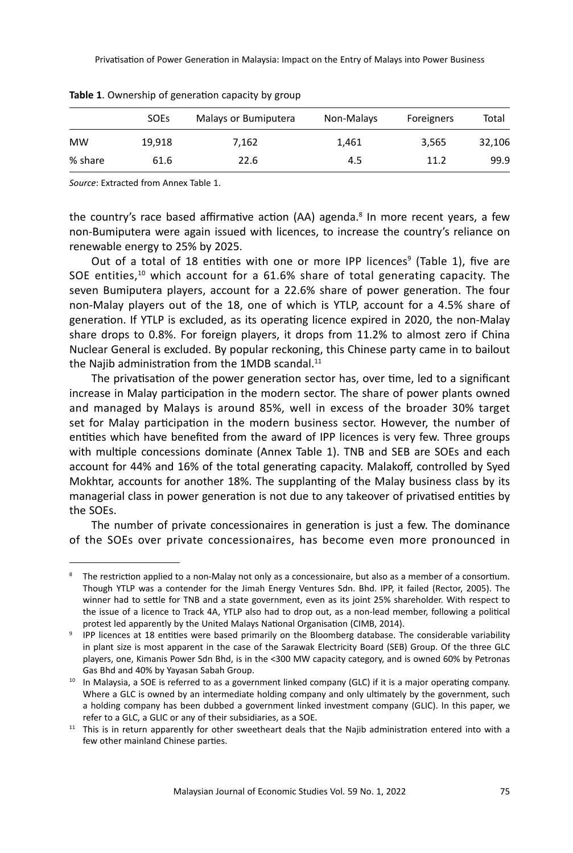|           | <b>SOEs</b> | Malays or Bumiputera | Non-Malays | Foreigners | Total  |
|-----------|-------------|----------------------|------------|------------|--------|
| <b>MW</b> | 19.918      | 7.162                | 1.461      | 3.565      | 32,106 |
| % share   | 61.6        | 22.6                 | 4.5        | 11.2       | 99.9   |

**Table 1**. Ownership of generation capacity by group

*Source*: Extracted from Annex Table 1.

the country's race based affirmative action (AA) agenda.<sup>8</sup> In more recent years, a few non-Bumiputera were again issued with licences, to increase the country's reliance on renewable energy to 25% by 2025.

Out of a total of 18 entities with one or more IPP licences<sup>9</sup> (Table 1), five are SOE entities,<sup>10</sup> which account for a 61.6% share of total generating capacity. The seven Bumiputera players, account for a 22.6% share of power generation. The four non-Malay players out of the 18, one of which is YTLP, account for a 4.5% share of generation. If YTLP is excluded, as its operating licence expired in 2020, the non-Malay share drops to 0.8%. For foreign players, it drops from 11.2% to almost zero if China Nuclear General is excluded. By popular reckoning, this Chinese party came in to bailout the Najib administration from the 1MDB scandal. $^{11}$ 

The privatisation of the power generation sector has, over time, led to a significant increase in Malay participation in the modern sector. The share of power plants owned and managed by Malays is around 85%, well in excess of the broader 30% target set for Malay participation in the modern business sector. However, the number of entities which have benefited from the award of IPP licences is very few. Three groups with multiple concessions dominate (Annex Table 1). TNB and SEB are SOEs and each account for 44% and 16% of the total generating capacity. Malakoff, controlled by Syed Mokhtar, accounts for another 18%. The supplanting of the Malay business class by its managerial class in power generation is not due to any takeover of privatised entities by the SOEs.

The number of private concessionaires in generation is just a few. The dominance of the SOEs over private concessionaires, has become even more pronounced in

<sup>&</sup>lt;sup>8</sup> The restriction applied to a non-Malay not only as a concessionaire, but also as a member of a consortium. Though YTLP was a contender for the Jimah Energy Ventures Sdn. Bhd. IPP, it failed (Rector, 2005). The winner had to settle for TNB and a state government, even as its joint 25% shareholder. With respect to the issue of a licence to Track 4A, YTLP also had to drop out, as a non-lead member, following a political protest led apparently by the United Malays National Organisation (CIMB, 2014).

<sup>&</sup>lt;sup>9</sup> IPP licences at 18 entities were based primarily on the Bloomberg database. The considerable variability in plant size is most apparent in the case of the Sarawak Electricity Board (SEB) Group. Of the three GLC players, one, Kimanis Power Sdn Bhd, is in the <300 MW capacity category, and is owned 60% by Petronas Gas Bhd and 40% by Yayasan Sabah Group.

<sup>&</sup>lt;sup>10</sup> In Malaysia, a SOE is referred to as a government linked company (GLC) if it is a major operating company. Where a GLC is owned by an intermediate holding company and only ultimately by the government, such a holding company has been dubbed a government linked investment company (GLIC). In this paper, we refer to a GLC, a GLIC or any of their subsidiaries, as a SOE.

<sup>&</sup>lt;sup>11</sup> This is in return apparently for other sweetheart deals that the Najib administration entered into with a few other mainland Chinese parties.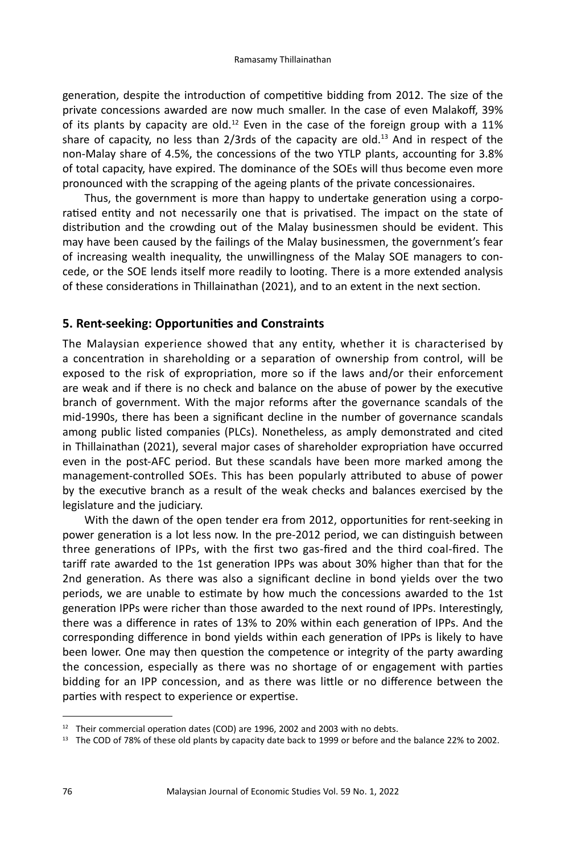generation, despite the introduction of competitive bidding from 2012. The size of the private concessions awarded are now much smaller. In the case of even Malakoff, 39% of its plants by capacity are old.<sup>12</sup> Even in the case of the foreign group with a 11% share of capacity, no less than  $2/3$ rds of the capacity are old.<sup>13</sup> And in respect of the non-Malay share of 4.5%, the concessions of the two YTLP plants, accounting for 3.8% of total capacity, have expired. The dominance of the SOEs will thus become even more pronounced with the scrapping of the ageing plants of the private concessionaires.

Thus, the government is more than happy to undertake generation using a corporatised entity and not necessarily one that is privatised. The impact on the state of distribution and the crowding out of the Malay businessmen should be evident. This may have been caused by the failings of the Malay businessmen, the government's fear of increasing wealth inequality, the unwillingness of the Malay SOE managers to concede, or the SOE lends itself more readily to looting. There is a more extended analysis of these considerations in Thillainathan (2021), and to an extent in the next section.

## **5. Rent-seeking: Opportunities and Constraints**

The Malaysian experience showed that any entity, whether it is characterised by a concentration in shareholding or a separation of ownership from control, will be exposed to the risk of expropriation, more so if the laws and/or their enforcement are weak and if there is no check and balance on the abuse of power by the executive branch of government. With the major reforms after the governance scandals of the mid-1990s, there has been a significant decline in the number of governance scandals among public listed companies (PLCs). Nonetheless, as amply demonstrated and cited in Thillainathan (2021), several major cases of shareholder expropriation have occurred even in the post-AFC period. But these scandals have been more marked among the management-controlled SOEs. This has been popularly attributed to abuse of power by the executive branch as a result of the weak checks and balances exercised by the legislature and the judiciary.

With the dawn of the open tender era from 2012, opportunities for rent-seeking in power generation is a lot less now. In the pre-2012 period, we can distinguish between three generations of IPPs, with the first two gas-fired and the third coal-fired. The tariff rate awarded to the 1st generation IPPs was about 30% higher than that for the 2nd generation. As there was also a significant decline in bond yields over the two periods, we are unable to estimate by how much the concessions awarded to the 1st generation IPPs were richer than those awarded to the next round of IPPs. Interestingly, there was a difference in rates of 13% to 20% within each generation of IPPs. And the corresponding difference in bond yields within each generation of IPPs is likely to have been lower. One may then question the competence or integrity of the party awarding the concession, especially as there was no shortage of or engagement with parties bidding for an IPP concession, and as there was little or no difference between the parties with respect to experience or expertise.

 $12$  Their commercial operation dates (COD) are 1996, 2002 and 2003 with no debts.

<sup>&</sup>lt;sup>13</sup> The COD of 78% of these old plants by capacity date back to 1999 or before and the balance 22% to 2002.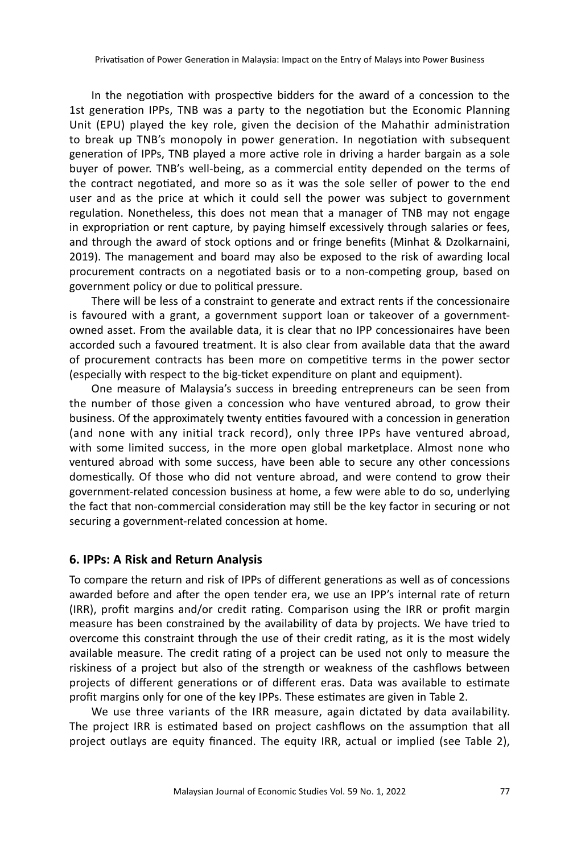In the negotiation with prospective bidders for the award of a concession to the 1st generation IPPs, TNB was a party to the negotiation but the Economic Planning Unit (EPU) played the key role, given the decision of the Mahathir administration to break up TNB's monopoly in power generation. In negotiation with subsequent generation of IPPs, TNB played a more active role in driving a harder bargain as a sole buyer of power. TNB's well-being, as a commercial entity depended on the terms of the contract negotiated, and more so as it was the sole seller of power to the end user and as the price at which it could sell the power was subject to government regulation. Nonetheless, this does not mean that a manager of TNB may not engage in expropriation or rent capture, by paying himself excessively through salaries or fees, and through the award of stock options and or fringe benefits (Minhat & Dzolkarnaini, 2019). The management and board may also be exposed to the risk of awarding local procurement contracts on a negotiated basis or to a non-competing group, based on government policy or due to political pressure.

There will be less of a constraint to generate and extract rents if the concessionaire is favoured with a grant, a government support loan or takeover of a governmentowned asset. From the available data, it is clear that no IPP concessionaires have been accorded such a favoured treatment. It is also clear from available data that the award of procurement contracts has been more on competitive terms in the power sector (especially with respect to the big-ticket expenditure on plant and equipment).

One measure of Malaysia's success in breeding entrepreneurs can be seen from the number of those given a concession who have ventured abroad, to grow their business. Of the approximately twenty entities favoured with a concession in generation (and none with any initial track record), only three IPPs have ventured abroad, with some limited success, in the more open global marketplace. Almost none who ventured abroad with some success, have been able to secure any other concessions domestically. Of those who did not venture abroad, and were contend to grow their government-related concession business at home, a few were able to do so, underlying the fact that non-commercial consideration may still be the key factor in securing or not securing a government-related concession at home.

## **6. IPPs: A Risk and Return Analysis**

To compare the return and risk of IPPs of different generations as well as of concessions awarded before and after the open tender era, we use an IPP's internal rate of return (IRR), profit margins and/or credit rating. Comparison using the IRR or profit margin measure has been constrained by the availability of data by projects. We have tried to overcome this constraint through the use of their credit rating, as it is the most widely available measure. The credit rating of a project can be used not only to measure the riskiness of a project but also of the strength or weakness of the cashflows between projects of different generations or of different eras. Data was available to estimate profit margins only for one of the key IPPs. These estimates are given in Table 2.

We use three variants of the IRR measure, again dictated by data availability. The project IRR is estimated based on project cashflows on the assumption that all project outlays are equity financed. The equity IRR, actual or implied (see Table 2),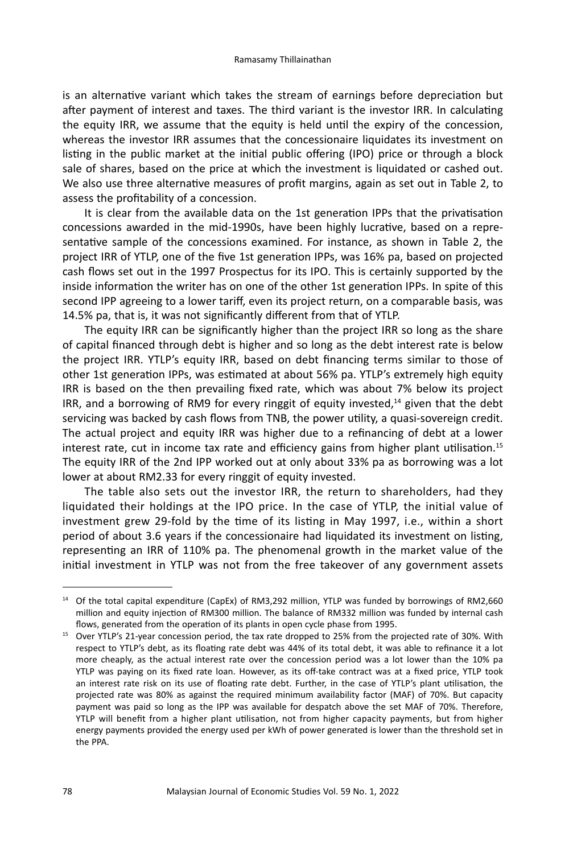is an alternative variant which takes the stream of earnings before depreciation but after payment of interest and taxes. The third variant is the investor IRR. In calculating the equity IRR, we assume that the equity is held until the expiry of the concession, whereas the investor IRR assumes that the concessionaire liquidates its investment on listing in the public market at the initial public offering (IPO) price or through a block sale of shares, based on the price at which the investment is liquidated or cashed out. We also use three alternative measures of profit margins, again as set out in Table 2, to assess the profitability of a concession.

It is clear from the available data on the 1st generation IPPs that the privatisation concessions awarded in the mid-1990s, have been highly lucrative, based on a representative sample of the concessions examined. For instance, as shown in Table 2, the project IRR of YTLP, one of the five 1st generation IPPs, was 16% pa, based on projected cash flows set out in the 1997 Prospectus for its IPO. This is certainly supported by the inside information the writer has on one of the other 1st generation IPPs. In spite of this second IPP agreeing to a lower tariff, even its project return, on a comparable basis, was 14.5% pa, that is, it was not significantly different from that of YTLP.

The equity IRR can be significantly higher than the project IRR so long as the share of capital financed through debt is higher and so long as the debt interest rate is below the project IRR. YTLP's equity IRR, based on debt financing terms similar to those of other 1st generation IPPs, was estimated at about 56% pa. YTLP's extremely high equity IRR is based on the then prevailing fixed rate, which was about 7% below its project IRR, and a borrowing of RM9 for every ringgit of equity invested.<sup>14</sup> given that the debt servicing was backed by cash flows from TNB, the power utility, a quasi-sovereign credit. The actual project and equity IRR was higher due to a refinancing of debt at a lower interest rate, cut in income tax rate and efficiency gains from higher plant utilisation.<sup>15</sup> The equity IRR of the 2nd IPP worked out at only about 33% pa as borrowing was a lot lower at about RM2.33 for every ringgit of equity invested.

The table also sets out the investor IRR, the return to shareholders, had they liquidated their holdings at the IPO price. In the case of YTLP, the initial value of investment grew 29-fold by the time of its listing in May 1997, i.e., within a short period of about 3.6 years if the concessionaire had liquidated its investment on listing, representing an IRR of 110% pa. The phenomenal growth in the market value of the initial investment in YTLP was not from the free takeover of any government assets

<sup>14</sup> Of the total capital expenditure (CapEx) of RM3,292 million, YTLP was funded by borrowings of RM2,660 million and equity injection of RM300 million. The balance of RM332 million was funded by internal cash flows, generated from the operation of its plants in open cycle phase from 1995.

<sup>&</sup>lt;sup>15</sup> Over YTLP's 21-year concession period, the tax rate dropped to 25% from the projected rate of 30%. With respect to YTLP's debt, as its floating rate debt was 44% of its total debt, it was able to refinance it a lot more cheaply, as the actual interest rate over the concession period was a lot lower than the 10% pa YTLP was paying on its fixed rate loan. However, as its off-take contract was at a fixed price, YTLP took an interest rate risk on its use of floating rate debt. Further, in the case of YTLP's plant utilisation, the projected rate was 80% as against the required minimum availability factor (MAF) of 70%. But capacity payment was paid so long as the IPP was available for despatch above the set MAF of 70%. Therefore, YTLP will benefit from a higher plant utilisation, not from higher capacity payments, but from higher energy payments provided the energy used per kWh of power generated is lower than the threshold set in the PPA.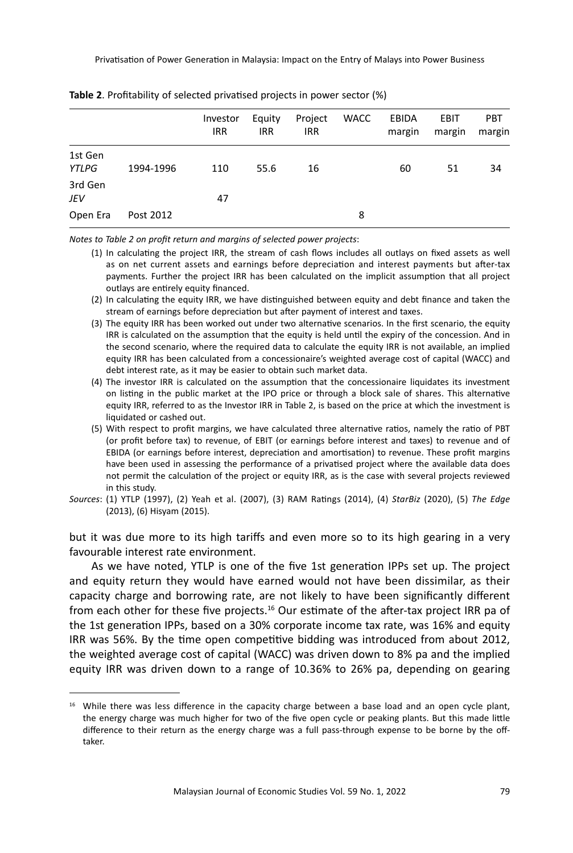Privatisation of Power Generation in Malaysia: Impact on the Entry of Malays into Power Business

|                  |           | Investor   | Equity     | Project    | <b>WACC</b> | <b>EBIDA</b> | <b>EBIT</b> | <b>PBT</b> |
|------------------|-----------|------------|------------|------------|-------------|--------------|-------------|------------|
|                  |           | <b>IRR</b> | <b>IRR</b> | <b>IRR</b> |             | margin       | margin      | margin     |
| 1st Gen<br>YTLPG | 1994-1996 | 110        | 55.6       | 16         |             | 60           | 51          | 34         |
| 3rd Gen<br>JEV   |           | 47         |            |            |             |              |             |            |
| Open Era         | Post 2012 |            |            |            | 8           |              |             |            |

| Table 2. Profitability of selected privatised projects in power sector (%) |  |  |
|----------------------------------------------------------------------------|--|--|
|----------------------------------------------------------------------------|--|--|

*Notes to Table 2 on profit return and margins of selected power projects*:

- (1) In calculating the project IRR, the stream of cash flows includes all outlays on fixed assets as well as on net current assets and earnings before depreciation and interest payments but after-tax payments. Further the project IRR has been calculated on the implicit assumption that all project outlays are entirely equity financed.
- (2) In calculating the equity IRR, we have distinguished between equity and debt finance and taken the stream of earnings before depreciation but after payment of interest and taxes.
- (3) The equity IRR has been worked out under two alternative scenarios. In the first scenario, the equity IRR is calculated on the assumption that the equity is held until the expiry of the concession. And in the second scenario, where the required data to calculate the equity IRR is not available, an implied equity IRR has been calculated from a concessionaire's weighted average cost of capital (WACC) and debt interest rate, as it may be easier to obtain such market data.
- (4) The investor IRR is calculated on the assumption that the concessionaire liquidates its investment on listing in the public market at the IPO price or through a block sale of shares. This alternative equity IRR, referred to as the Investor IRR in Table 2, is based on the price at which the investment is liquidated or cashed out.
- (5) With respect to profit margins, we have calculated three alternative ratios, namely the ratio of PBT (or profit before tax) to revenue, of EBIT (or earnings before interest and taxes) to revenue and of EBIDA (or earnings before interest, depreciation and amortisation) to revenue. These profit margins have been used in assessing the performance of a privatised project where the available data does not permit the calculation of the project or equity IRR, as is the case with several projects reviewed in this study.
- *Sources*: (1) YTLP (1997), (2) Yeah et al. (2007), (3) RAM Ratings (2014), (4) *StarBiz* (2020), (5) *The Edge* (2013), (6) Hisyam (2015).

but it was due more to its high tariffs and even more so to its high gearing in a very favourable interest rate environment.

As we have noted, YTLP is one of the five 1st generation IPPs set up. The project and equity return they would have earned would not have been dissimilar, as their capacity charge and borrowing rate, are not likely to have been significantly different from each other for these five projects.<sup>16</sup> Our estimate of the after-tax project IRR pa of the 1st generation IPPs, based on a 30% corporate income tax rate, was 16% and equity IRR was 56%. By the time open competitive bidding was introduced from about 2012, the weighted average cost of capital (WACC) was driven down to 8% pa and the implied equity IRR was driven down to a range of 10.36% to 26% pa, depending on gearing

<sup>&</sup>lt;sup>16</sup> While there was less difference in the capacity charge between a base load and an open cycle plant, the energy charge was much higher for two of the five open cycle or peaking plants. But this made little difference to their return as the energy charge was a full pass-through expense to be borne by the offtaker.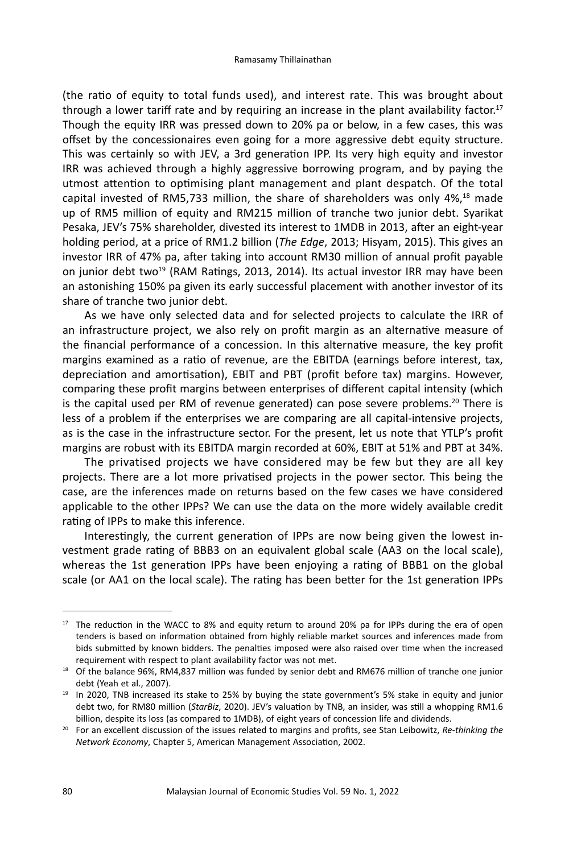(the ratio of equity to total funds used), and interest rate. This was brought about through a lower tariff rate and by requiring an increase in the plant availability factor.<sup>17</sup> Though the equity IRR was pressed down to 20% pa or below, in a few cases, this was offset by the concessionaires even going for a more aggressive debt equity structure. This was certainly so with JEV, a 3rd generation IPP. Its very high equity and investor IRR was achieved through a highly aggressive borrowing program, and by paying the utmost attention to optimising plant management and plant despatch. Of the total capital invested of RM5,733 million, the share of shareholders was only 4%,18 made up of RM5 million of equity and RM215 million of tranche two junior debt. Syarikat Pesaka, JEV's 75% shareholder, divested its interest to 1MDB in 2013, after an eight-year holding period, at a price of RM1.2 billion (*The Edge*, 2013; Hisyam, 2015). This gives an investor IRR of 47% pa, after taking into account RM30 million of annual profit payable on junior debt two<sup>19</sup> (RAM Ratings, 2013, 2014). Its actual investor IRR may have been an astonishing 150% pa given its early successful placement with another investor of its share of tranche two junior debt.

As we have only selected data and for selected projects to calculate the IRR of an infrastructure project, we also rely on profit margin as an alternative measure of the financial performance of a concession. In this alternative measure, the key profit margins examined as a ratio of revenue, are the EBITDA (earnings before interest, tax, depreciation and amortisation), EBIT and PBT (profit before tax) margins. However, comparing these profit margins between enterprises of different capital intensity (which is the capital used per RM of revenue generated) can pose severe problems.<sup>20</sup> There is less of a problem if the enterprises we are comparing are all capital-intensive projects, as is the case in the infrastructure sector. For the present, let us note that YTLP's profit margins are robust with its EBITDA margin recorded at 60%, EBIT at 51% and PBT at 34%.

The privatised projects we have considered may be few but they are all key projects. There are a lot more privatised projects in the power sector. This being the case, are the inferences made on returns based on the few cases we have considered applicable to the other IPPs? We can use the data on the more widely available credit rating of IPPs to make this inference.

Interestingly, the current generation of IPPs are now being given the lowest investment grade rating of BBB3 on an equivalent global scale (AA3 on the local scale), whereas the 1st generation IPPs have been enjoying a rating of BBB1 on the global scale (or AA1 on the local scale). The rating has been better for the 1st generation IPPs

<sup>&</sup>lt;sup>17</sup> The reduction in the WACC to 8% and equity return to around 20% pa for IPPs during the era of open tenders is based on information obtained from highly reliable market sources and inferences made from bids submitted by known bidders. The penalties imposed were also raised over time when the increased

requirement with respect to plant availability factor was not met.<br><sup>18</sup> Of the balance 96%, RM4,837 million was funded by senior debt and RM676 million of tranche one junior debt (Yeah et al., 2007).

<sup>&</sup>lt;sup>19</sup> In 2020, TNB increased its stake to 25% by buying the state government's 5% stake in equity and junior debt two, for RM80 million (*StarBiz*, 2020). JEV's valuation by TNB, an insider, was still a whopping RM1.6 billion, despite its loss (as compared to 1MDB), of eight years of concession life and dividends.

<sup>20</sup> For an excellent discussion of the issues related to margins and profits, see Stan Leibowitz, *Re-thinking the Network Economy*, Chapter 5, American Management Association, 2002.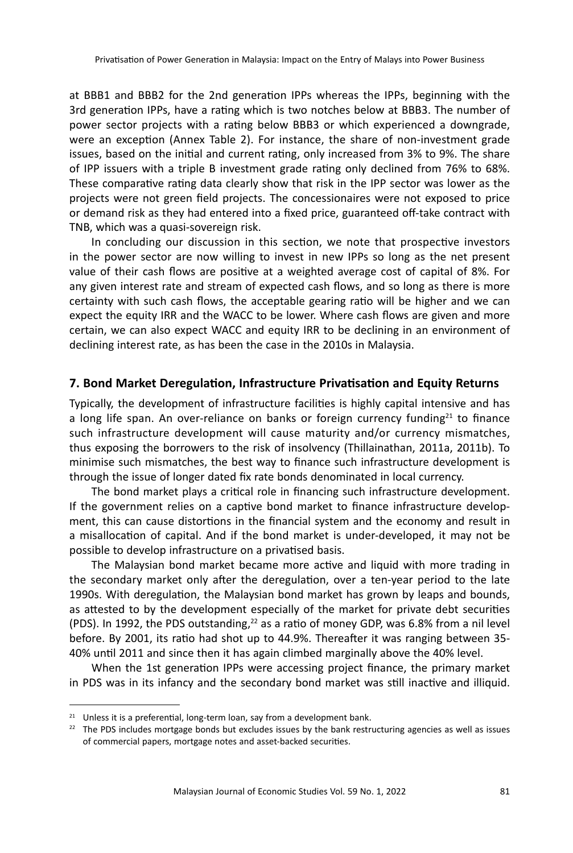at BBB1 and BBB2 for the 2nd generation IPPs whereas the IPPs, beginning with the 3rd generation IPPs, have a rating which is two notches below at BBB3. The number of power sector projects with a rating below BBB3 or which experienced a downgrade, were an exception (Annex Table 2). For instance, the share of non-investment grade issues, based on the initial and current rating, only increased from 3% to 9%. The share of IPP issuers with a triple B investment grade rating only declined from 76% to 68%. These comparative rating data clearly show that risk in the IPP sector was lower as the projects were not green field projects. The concessionaires were not exposed to price or demand risk as they had entered into a fixed price, guaranteed off-take contract with TNB, which was a quasi-sovereign risk.

In concluding our discussion in this section, we note that prospective investors in the power sector are now willing to invest in new IPPs so long as the net present value of their cash flows are positive at a weighted average cost of capital of 8%. For any given interest rate and stream of expected cash flows, and so long as there is more certainty with such cash flows, the acceptable gearing ratio will be higher and we can expect the equity IRR and the WACC to be lower. Where cash flows are given and more certain, we can also expect WACC and equity IRR to be declining in an environment of declining interest rate, as has been the case in the 2010s in Malaysia.

## **7. Bond Market Deregulation, Infrastructure Privatisation and Equity Returns**

Typically, the development of infrastructure facilities is highly capital intensive and has a long life span. An over-reliance on banks or foreign currency funding<sup>21</sup> to finance such infrastructure development will cause maturity and/or currency mismatches, thus exposing the borrowers to the risk of insolvency (Thillainathan, 2011a, 2011b). To minimise such mismatches, the best way to finance such infrastructure development is through the issue of longer dated fix rate bonds denominated in local currency.

The bond market plays a critical role in financing such infrastructure development. If the government relies on a captive bond market to finance infrastructure development, this can cause distortions in the financial system and the economy and result in a misallocation of capital. And if the bond market is under-developed, it may not be possible to develop infrastructure on a privatised basis.

The Malaysian bond market became more active and liquid with more trading in the secondary market only after the deregulation, over a ten-year period to the late 1990s. With deregulation, the Malaysian bond market has grown by leaps and bounds, as attested to by the development especially of the market for private debt securities (PDS). In 1992, the PDS outstanding, $^{22}$  as a ratio of money GDP, was 6.8% from a nil level before. By 2001, its ratio had shot up to 44.9%. Thereafter it was ranging between 35- 40% until 2011 and since then it has again climbed marginally above the 40% level.

When the 1st generation IPPs were accessing project finance, the primary market in PDS was in its infancy and the secondary bond market was still inactive and illiquid.

<sup>&</sup>lt;sup>21</sup> Unless it is a preferential, long-term loan, say from a development bank.

 $22$  The PDS includes mortgage bonds but excludes issues by the bank restructuring agencies as well as issues of commercial papers, mortgage notes and asset-backed securities.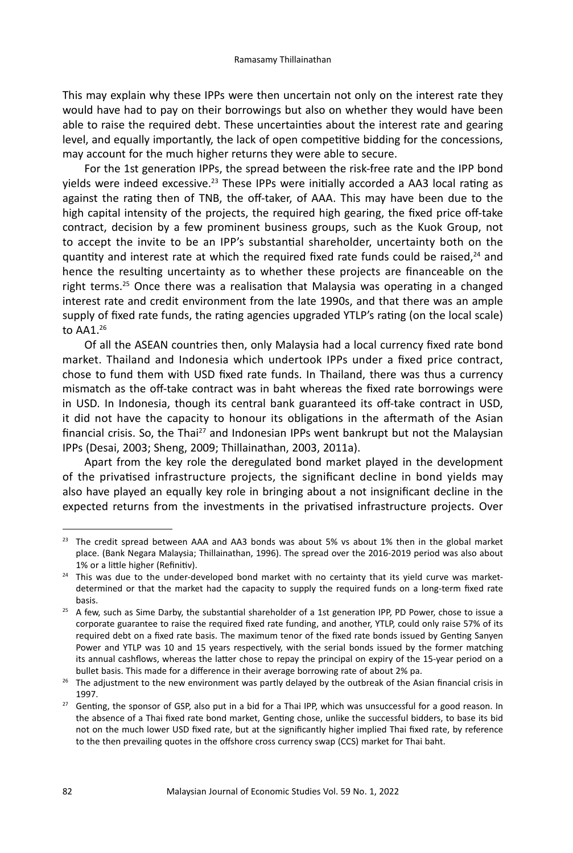This may explain why these IPPs were then uncertain not only on the interest rate they would have had to pay on their borrowings but also on whether they would have been able to raise the required debt. These uncertainties about the interest rate and gearing level, and equally importantly, the lack of open competitive bidding for the concessions, may account for the much higher returns they were able to secure.

For the 1st generation IPPs, the spread between the risk-free rate and the IPP bond yields were indeed excessive.<sup>23</sup> These IPPs were initially accorded a AA3 local rating as against the rating then of TNB, the off-taker, of AAA. This may have been due to the high capital intensity of the projects, the required high gearing, the fixed price off-take contract, decision by a few prominent business groups, such as the Kuok Group, not to accept the invite to be an IPP's substantial shareholder, uncertainty both on the quantity and interest rate at which the required fixed rate funds could be raised.<sup>24</sup> and hence the resulting uncertainty as to whether these projects are financeable on the right terms.<sup>25</sup> Once there was a realisation that Malaysia was operating in a changed interest rate and credit environment from the late 1990s, and that there was an ample supply of fixed rate funds, the rating agencies upgraded YTLP's rating (on the local scale) to  $AA1<sup>26</sup>$ 

Of all the ASEAN countries then, only Malaysia had a local currency fixed rate bond market. Thailand and Indonesia which undertook IPPs under a fixed price contract, chose to fund them with USD fixed rate funds. In Thailand, there was thus a currency mismatch as the off-take contract was in baht whereas the fixed rate borrowings were in USD. In Indonesia, though its central bank guaranteed its off-take contract in USD, it did not have the capacity to honour its obligations in the aftermath of the Asian financial crisis. So, the Thai<sup>27</sup> and Indonesian IPPs went bankrupt but not the Malaysian IPPs (Desai, 2003; Sheng, 2009; Thillainathan, 2003, 2011a).

Apart from the key role the deregulated bond market played in the development of the privatised infrastructure projects, the significant decline in bond yields may also have played an equally key role in bringing about a not insignificant decline in the expected returns from the investments in the privatised infrastructure projects. Over

<sup>&</sup>lt;sup>23</sup> The credit spread between AAA and AA3 bonds was about 5% vs about 1% then in the global market place. (Bank Negara Malaysia; Thillainathan, 1996). The spread over the 2016-2019 period was also about 1% or a little higher (Refinitiv).

<sup>&</sup>lt;sup>24</sup> This was due to the under-developed bond market with no certainty that its yield curve was marketdetermined or that the market had the capacity to supply the required funds on a long-term fixed rate

basis. 25 A few, such as Sime Darby, the substantial shareholder of a 1st generation IPP, PD Power, chose to issue a corporate guarantee to raise the required fixed rate funding, and another, YTLP, could only raise 57% of its required debt on a fixed rate basis. The maximum tenor of the fixed rate bonds issued by Genting Sanyen Power and YTLP was 10 and 15 years respectively, with the serial bonds issued by the former matching its annual cashflows, whereas the latter chose to repay the principal on expiry of the 15-year period on a bullet basis. This made for a difference in their average borrowing rate of about 2% pa.

<sup>&</sup>lt;sup>26</sup> The adjustment to the new environment was partly delayed by the outbreak of the Asian financial crisis in 1997.

<sup>&</sup>lt;sup>27</sup> Genting, the sponsor of GSP, also put in a bid for a Thai IPP, which was unsuccessful for a good reason. In the absence of a Thai fixed rate bond market, Genting chose, unlike the successful bidders, to base its bid not on the much lower USD fixed rate, but at the significantly higher implied Thai fixed rate, by reference to the then prevailing quotes in the offshore cross currency swap (CCS) market for Thai baht.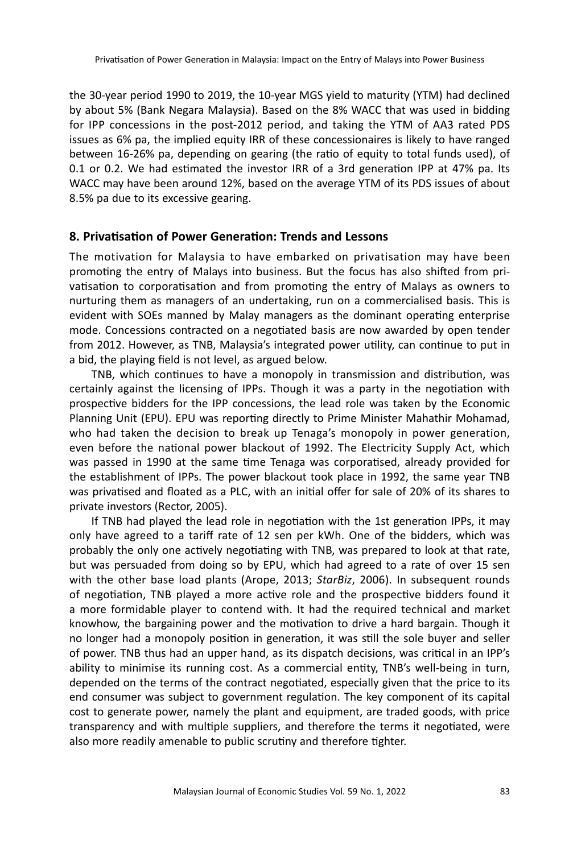the 30-year period 1990 to 2019, the 10-year MGS yield to maturity (YTM) had declined by about 5% (Bank Negara Malaysia). Based on the 8% WACC that was used in bidding for IPP concessions in the post-2012 period, and taking the YTM of AA3 rated PDS issues as 6% pa, the implied equity IRR of these concessionaires is likely to have ranged between 16-26% pa, depending on gearing (the ratio of equity to total funds used), of 0.1 or 0.2. We had estimated the investor IRR of a 3rd generation IPP at 47% pa. Its WACC may have been around 12%, based on the average YTM of its PDS issues of about 8.5% pa due to its excessive gearing.

## **8. Privatisation of Power Generation: Trends and Lessons**

The motivation for Malaysia to have embarked on privatisation may have been promoting the entry of Malays into business. But the focus has also shifted from privatisation to corporatisation and from promoting the entry of Malays as owners to nurturing them as managers of an undertaking, run on a commercialised basis. This is evident with SOEs manned by Malay managers as the dominant operating enterprise mode. Concessions contracted on a negotiated basis are now awarded by open tender from 2012. However, as TNB, Malaysia's integrated power utility, can continue to put in a bid, the playing field is not level, as argued below.

TNB, which continues to have a monopoly in transmission and distribution, was certainly against the licensing of IPPs. Though it was a party in the negotiation with prospective bidders for the IPP concessions, the lead role was taken by the Economic Planning Unit (EPU). EPU was reporting directly to Prime Minister Mahathir Mohamad, who had taken the decision to break up Tenaga's monopoly in power generation, even before the national power blackout of 1992. The Electricity Supply Act, which was passed in 1990 at the same time Tenaga was corporatised, already provided for the establishment of IPPs. The power blackout took place in 1992, the same year TNB was privatised and floated as a PLC, with an initial offer for sale of 20% of its shares to private investors (Rector, 2005).

If TNB had played the lead role in negotiation with the 1st generation IPPs, it may only have agreed to a tariff rate of 12 sen per kWh. One of the bidders, which was probably the only one actively negotiating with TNB, was prepared to look at that rate, but was persuaded from doing so by EPU, which had agreed to a rate of over 15 sen with the other base load plants (Arope, 2013; *StarBiz*, 2006). In subsequent rounds of negotiation, TNB played a more active role and the prospective bidders found it a more formidable player to contend with. It had the required technical and market knowhow, the bargaining power and the motivation to drive a hard bargain. Though it no longer had a monopoly position in generation, it was still the sole buyer and seller of power. TNB thus had an upper hand, as its dispatch decisions, was critical in an IPP's ability to minimise its running cost. As a commercial entity, TNB's well-being in turn, depended on the terms of the contract negotiated, especially given that the price to its end consumer was subject to government regulation. The key component of its capital cost to generate power, namely the plant and equipment, are traded goods, with price transparency and with multiple suppliers, and therefore the terms it negotiated, were also more readily amenable to public scrutiny and therefore tighter.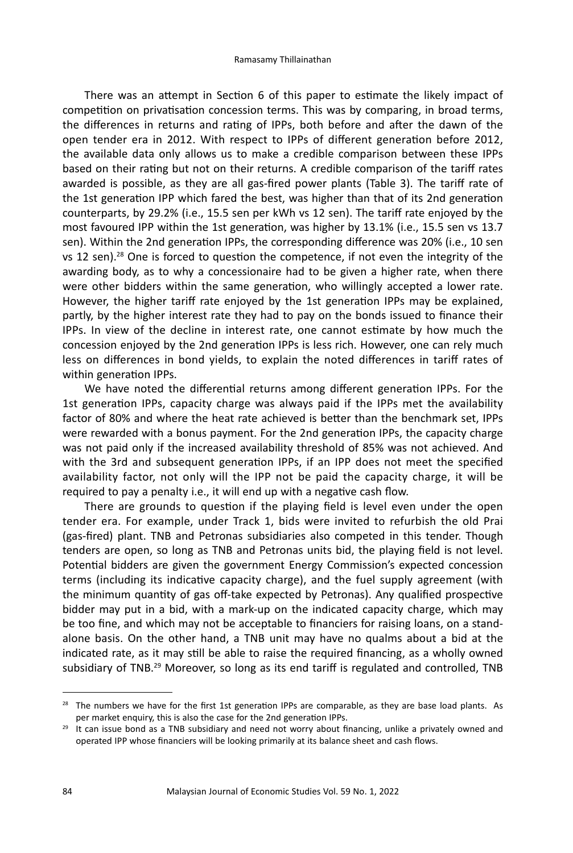There was an attempt in Section 6 of this paper to estimate the likely impact of competition on privatisation concession terms. This was by comparing, in broad terms, the differences in returns and rating of IPPs, both before and after the dawn of the open tender era in 2012. With respect to IPPs of different generation before 2012, the available data only allows us to make a credible comparison between these IPPs based on their rating but not on their returns. A credible comparison of the tariff rates awarded is possible, as they are all gas-fired power plants (Table 3). The tariff rate of the 1st generation IPP which fared the best, was higher than that of its 2nd generation counterparts, by 29.2% (i.e., 15.5 sen per kWh vs 12 sen). The tariff rate enjoyed by the most favoured IPP within the 1st generation, was higher by 13.1% (i.e., 15.5 sen vs 13.7 sen). Within the 2nd generation IPPs, the corresponding difference was 20% (i.e., 10 sen vs 12 sen).28 One is forced to question the competence, if not even the integrity of the awarding body, as to why a concessionaire had to be given a higher rate, when there were other bidders within the same generation, who willingly accepted a lower rate. However, the higher tariff rate enjoyed by the 1st generation IPPs may be explained, partly, by the higher interest rate they had to pay on the bonds issued to finance their IPPs. In view of the decline in interest rate, one cannot estimate by how much the concession enjoyed by the 2nd generation IPPs is less rich. However, one can rely much less on differences in bond yields, to explain the noted differences in tariff rates of within generation IPPs.

We have noted the differential returns among different generation IPPs. For the 1st generation IPPs, capacity charge was always paid if the IPPs met the availability factor of 80% and where the heat rate achieved is better than the benchmark set, IPPs were rewarded with a bonus payment. For the 2nd generation IPPs, the capacity charge was not paid only if the increased availability threshold of 85% was not achieved. And with the 3rd and subsequent generation IPPs, if an IPP does not meet the specified availability factor, not only will the IPP not be paid the capacity charge, it will be required to pay a penalty i.e., it will end up with a negative cash flow.

There are grounds to question if the playing field is level even under the open tender era. For example, under Track 1, bids were invited to refurbish the old Prai (gas-fired) plant. TNB and Petronas subsidiaries also competed in this tender. Though tenders are open, so long as TNB and Petronas units bid, the playing field is not level. Potential bidders are given the government Energy Commission's expected concession terms (including its indicative capacity charge), and the fuel supply agreement (with the minimum quantity of gas off-take expected by Petronas). Any qualified prospective bidder may put in a bid, with a mark-up on the indicated capacity charge, which may be too fine, and which may not be acceptable to financiers for raising loans, on a standalone basis. On the other hand, a TNB unit may have no qualms about a bid at the indicated rate, as it may still be able to raise the required financing, as a wholly owned subsidiary of TNB.<sup>29</sup> Moreover, so long as its end tariff is regulated and controlled, TNB

 $28$  The numbers we have for the first 1st generation IPPs are comparable, as they are base load plants. As per market enquiry, this is also the case for the 2nd generation IPPs.

<sup>&</sup>lt;sup>29</sup> It can issue bond as a TNB subsidiary and need not worry about financing, unlike a privately owned and operated IPP whose financiers will be looking primarily at its balance sheet and cash flows.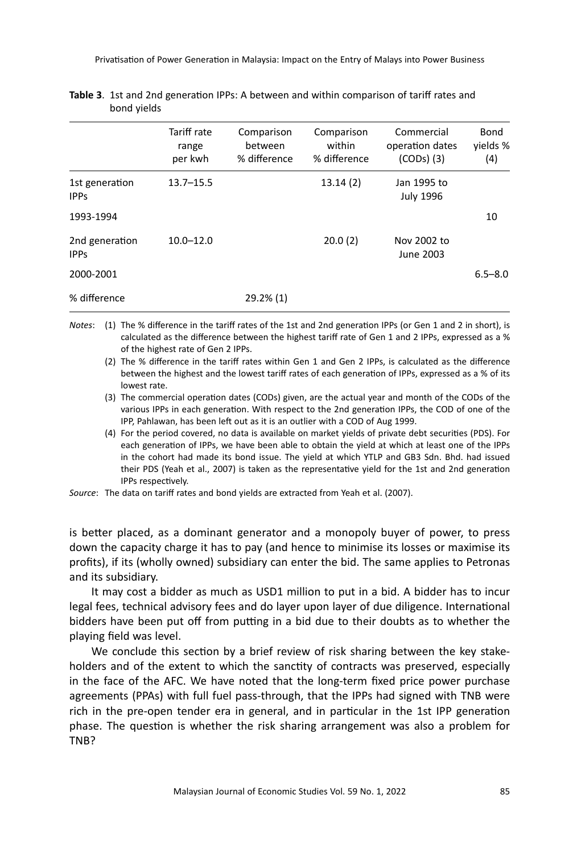|                               | Tariff rate<br>range<br>per kwh | Comparison<br>between<br>% difference | Comparison<br>within<br>% difference | Commercial<br>operation dates<br>$(CODs)$ $(3)$ | Bond<br>yields %<br>(4) |
|-------------------------------|---------------------------------|---------------------------------------|--------------------------------------|-------------------------------------------------|-------------------------|
| 1st generation<br><b>IPPs</b> | $13.7 - 15.5$                   |                                       | 13.14(2)                             | Jan 1995 to<br><b>July 1996</b>                 |                         |
| 1993-1994                     |                                 |                                       |                                      |                                                 | 10                      |
| 2nd generation<br><b>IPPS</b> | $10.0 - 12.0$                   |                                       | 20.0(2)                              | Nov 2002 to<br>June 2003                        |                         |
| 2000-2001                     |                                 |                                       |                                      |                                                 | $6.5 - 8.0$             |
| % difference                  |                                 | $29.2\%$ (1)                          |                                      |                                                 |                         |

| Table 3. 1st and 2nd generation IPPs: A between and within comparison of tariff rates and |
|-------------------------------------------------------------------------------------------|
| bond yields                                                                               |

- *Notes*: (1) The % difference in the tariff rates of the 1st and 2nd generation IPPs (or Gen 1 and 2 in short), is calculated as the difference between the highest tariff rate of Gen 1 and 2 IPPs, expressed as a % of the highest rate of Gen 2 IPPs.
	- (2) The % difference in the tariff rates within Gen 1 and Gen 2 IPPs, is calculated as the difference between the highest and the lowest tariff rates of each generation of IPPs, expressed as a % of its lowest rate.
	- (3) The commercial operation dates (CODs) given, are the actual year and month of the CODs of the various IPPs in each generation. With respect to the 2nd generation IPPs, the COD of one of the IPP, Pahlawan, has been left out as it is an outlier with a COD of Aug 1999.
	- (4) For the period covered, no data is available on market yields of private debt securities (PDS). For each generation of IPPs, we have been able to obtain the yield at which at least one of the IPPs in the cohort had made its bond issue. The yield at which YTLP and GB3 Sdn. Bhd. had issued their PDS (Yeah et al., 2007) is taken as the representative yield for the 1st and 2nd generation IPPs respectively.
- *Source*: The data on tariff rates and bond yields are extracted from Yeah et al. (2007).

is better placed, as a dominant generator and a monopoly buyer of power, to press down the capacity charge it has to pay (and hence to minimise its losses or maximise its profits), if its (wholly owned) subsidiary can enter the bid. The same applies to Petronas and its subsidiary.

It may cost a bidder as much as USD1 million to put in a bid. A bidder has to incur legal fees, technical advisory fees and do layer upon layer of due diligence. International bidders have been put off from putting in a bid due to their doubts as to whether the playing field was level.

We conclude this section by a brief review of risk sharing between the key stakeholders and of the extent to which the sanctity of contracts was preserved, especially in the face of the AFC. We have noted that the long-term fixed price power purchase agreements (PPAs) with full fuel pass-through, that the IPPs had signed with TNB were rich in the pre-open tender era in general, and in particular in the 1st IPP generation phase. The question is whether the risk sharing arrangement was also a problem for TNB?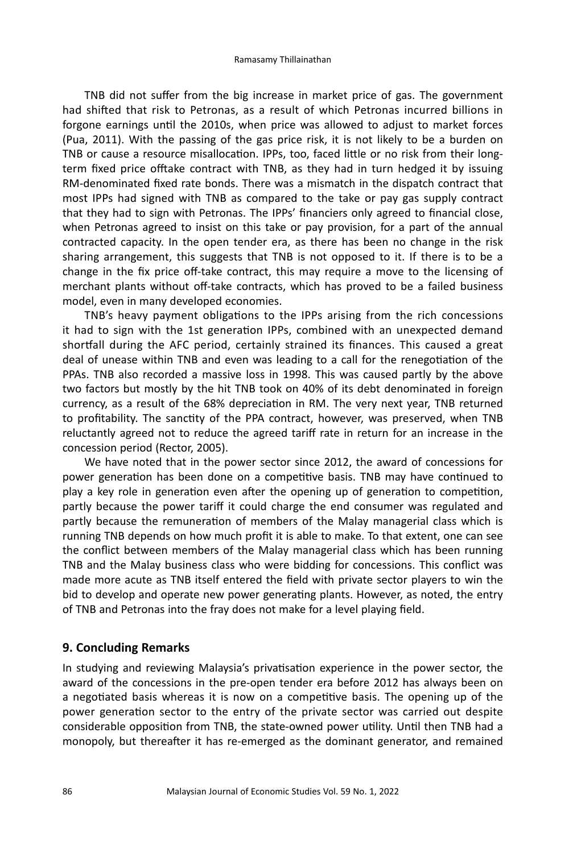TNB did not suffer from the big increase in market price of gas. The government had shifted that risk to Petronas, as a result of which Petronas incurred billions in forgone earnings until the 2010s, when price was allowed to adjust to market forces (Pua, 2011). With the passing of the gas price risk, it is not likely to be a burden on TNB or cause a resource misallocation. IPPs, too, faced little or no risk from their longterm fixed price offtake contract with TNB, as they had in turn hedged it by issuing RM-denominated fixed rate bonds. There was a mismatch in the dispatch contract that most IPPs had signed with TNB as compared to the take or pay gas supply contract that they had to sign with Petronas. The IPPs' financiers only agreed to financial close, when Petronas agreed to insist on this take or pay provision, for a part of the annual contracted capacity. In the open tender era, as there has been no change in the risk sharing arrangement, this suggests that TNB is not opposed to it. If there is to be a change in the fix price off-take contract, this may require a move to the licensing of merchant plants without off-take contracts, which has proved to be a failed business model, even in many developed economies.

TNB's heavy payment obligations to the IPPs arising from the rich concessions it had to sign with the 1st generation IPPs, combined with an unexpected demand shortfall during the AFC period, certainly strained its finances. This caused a great deal of unease within TNB and even was leading to a call for the renegotiation of the PPAs. TNB also recorded a massive loss in 1998. This was caused partly by the above two factors but mostly by the hit TNB took on 40% of its debt denominated in foreign currency, as a result of the 68% depreciation in RM. The very next year, TNB returned to profitability. The sanctity of the PPA contract, however, was preserved, when TNB reluctantly agreed not to reduce the agreed tariff rate in return for an increase in the concession period (Rector, 2005).

We have noted that in the power sector since 2012, the award of concessions for power generation has been done on a competitive basis. TNB may have continued to play a key role in generation even after the opening up of generation to competition, partly because the power tariff it could charge the end consumer was regulated and partly because the remuneration of members of the Malay managerial class which is running TNB depends on how much profit it is able to make. To that extent, one can see the conflict between members of the Malay managerial class which has been running TNB and the Malay business class who were bidding for concessions. This conflict was made more acute as TNB itself entered the field with private sector players to win the bid to develop and operate new power generating plants. However, as noted, the entry of TNB and Petronas into the fray does not make for a level playing field.

## **9. Concluding Remarks**

In studying and reviewing Malaysia's privatisation experience in the power sector, the award of the concessions in the pre-open tender era before 2012 has always been on a negotiated basis whereas it is now on a competitive basis. The opening up of the power generation sector to the entry of the private sector was carried out despite considerable opposition from TNB, the state-owned power utility. Until then TNB had a monopoly, but thereafter it has re-emerged as the dominant generator, and remained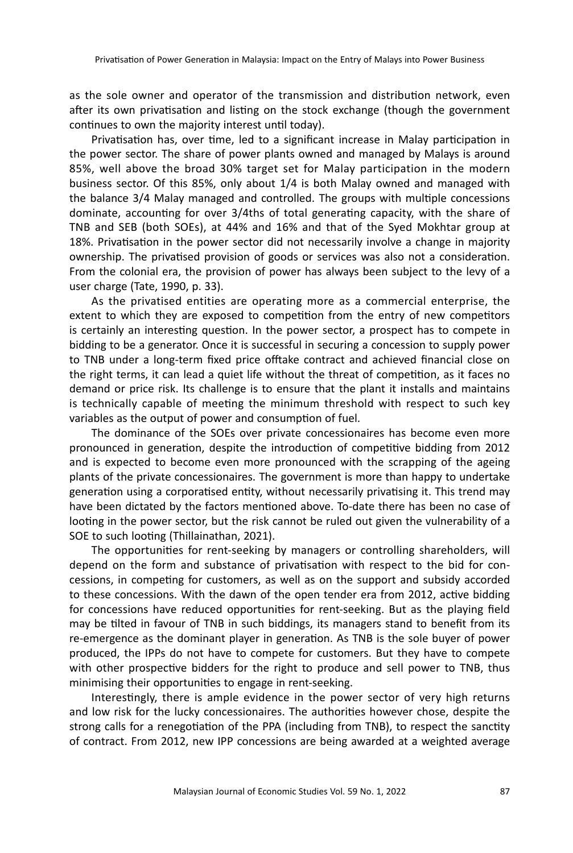as the sole owner and operator of the transmission and distribution network, even after its own privatisation and listing on the stock exchange (though the government continues to own the majority interest until today).

Privatisation has, over time, led to a significant increase in Malay participation in the power sector. The share of power plants owned and managed by Malays is around 85%, well above the broad 30% target set for Malay participation in the modern business sector. Of this 85%, only about 1/4 is both Malay owned and managed with the balance 3/4 Malay managed and controlled. The groups with multiple concessions dominate, accounting for over 3/4ths of total generating capacity, with the share of TNB and SEB (both SOEs), at 44% and 16% and that of the Syed Mokhtar group at 18%. Privatisation in the power sector did not necessarily involve a change in majority ownership. The privatised provision of goods or services was also not a consideration. From the colonial era, the provision of power has always been subject to the levy of a user charge (Tate, 1990, p. 33).

As the privatised entities are operating more as a commercial enterprise, the extent to which they are exposed to competition from the entry of new competitors is certainly an interesting question. In the power sector, a prospect has to compete in bidding to be a generator. Once it is successful in securing a concession to supply power to TNB under a long-term fixed price offtake contract and achieved financial close on the right terms, it can lead a quiet life without the threat of competition, as it faces no demand or price risk. Its challenge is to ensure that the plant it installs and maintains is technically capable of meeting the minimum threshold with respect to such key variables as the output of power and consumption of fuel.

The dominance of the SOEs over private concessionaires has become even more pronounced in generation, despite the introduction of competitive bidding from 2012 and is expected to become even more pronounced with the scrapping of the ageing plants of the private concessionaires. The government is more than happy to undertake generation using a corporatised entity, without necessarily privatising it. This trend may have been dictated by the factors mentioned above. To-date there has been no case of looting in the power sector, but the risk cannot be ruled out given the vulnerability of a SOE to such looting (Thillainathan, 2021).

The opportunities for rent-seeking by managers or controlling shareholders, will depend on the form and substance of privatisation with respect to the bid for concessions, in competing for customers, as well as on the support and subsidy accorded to these concessions. With the dawn of the open tender era from 2012, active bidding for concessions have reduced opportunities for rent-seeking. But as the playing field may be tilted in favour of TNB in such biddings, its managers stand to benefit from its re-emergence as the dominant player in generation. As TNB is the sole buyer of power produced, the IPPs do not have to compete for customers. But they have to compete with other prospective bidders for the right to produce and sell power to TNB, thus minimising their opportunities to engage in rent-seeking.

Interestingly, there is ample evidence in the power sector of very high returns and low risk for the lucky concessionaires. The authorities however chose, despite the strong calls for a renegotiation of the PPA (including from TNB), to respect the sanctity of contract. From 2012, new IPP concessions are being awarded at a weighted average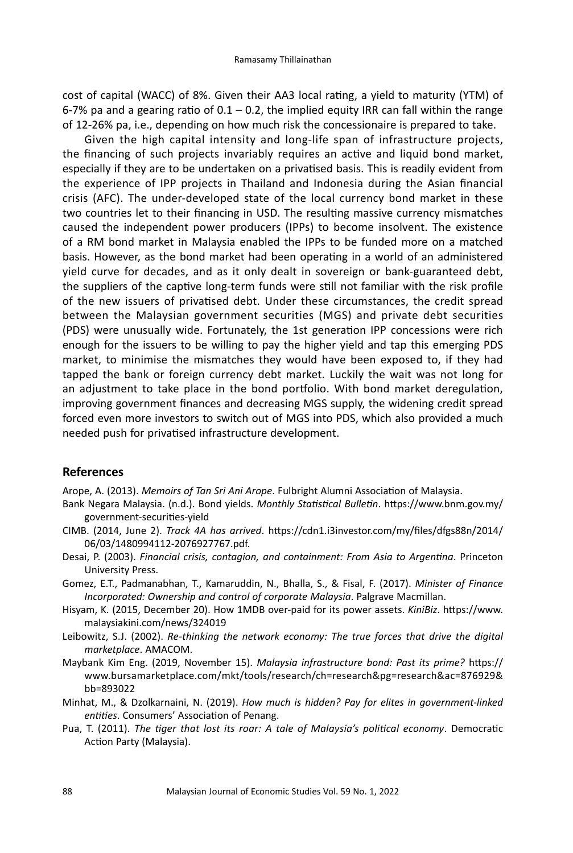cost of capital (WACC) of 8%. Given their AA3 local rating, a yield to maturity (YTM) of 6-7% pa and a gearing ratio of  $0.1 - 0.2$ , the implied equity IRR can fall within the range of 12-26% pa, i.e., depending on how much risk the concessionaire is prepared to take.

Given the high capital intensity and long-life span of infrastructure projects, the financing of such projects invariably requires an active and liquid bond market, especially if they are to be undertaken on a privatised basis. This is readily evident from the experience of IPP projects in Thailand and Indonesia during the Asian financial crisis (AFC). The under-developed state of the local currency bond market in these two countries let to their financing in USD. The resulting massive currency mismatches caused the independent power producers (IPPs) to become insolvent. The existence of a RM bond market in Malaysia enabled the IPPs to be funded more on a matched basis. However, as the bond market had been operating in a world of an administered yield curve for decades, and as it only dealt in sovereign or bank-guaranteed debt, the suppliers of the captive long-term funds were still not familiar with the risk profile of the new issuers of privatised debt. Under these circumstances, the credit spread between the Malaysian government securities (MGS) and private debt securities (PDS) were unusually wide. Fortunately, the 1st generation IPP concessions were rich enough for the issuers to be willing to pay the higher yield and tap this emerging PDS market, to minimise the mismatches they would have been exposed to, if they had tapped the bank or foreign currency debt market. Luckily the wait was not long for an adjustment to take place in the bond portfolio. With bond market deregulation, improving government finances and decreasing MGS supply, the widening credit spread forced even more investors to switch out of MGS into PDS, which also provided a much needed push for privatised infrastructure development.

## **References**

Arope, A. (2013). *Memoirs of Tan Sri Ani Arope*. Fulbright Alumni Association of Malaysia.

- Bank Negara Malaysia. (n.d.). Bond yields. *Monthly Statistical Bulletin*. https://www.bnm.gov.my/ government-securities-yield
- CIMB. (2014, June 2). *Track 4A has arrived*. https://cdn1.i3investor.com/my/files/dfgs88n/2014/ 06/03/1480994112-2076927767.pdf.
- Desai, P. (2003). *Financial crisis, contagion, and containment: From Asia to Argentina*. Princeton University Press.
- Gomez, E.T., Padmanabhan, T., Kamaruddin, N., Bhalla, S., & Fisal, F. (2017). *Minister of Finance Incorporated: Ownership and control of corporate Malaysia*. Palgrave Macmillan.
- Hisyam, K. (2015, December 20). How 1MDB over-paid for its power assets. *KiniBiz*. https://www. malaysiakini.com/news/324019
- Leibowitz, S.J. (2002). *Re-thinking the network economy: The true forces that drive the digital marketplace*. AMACOM.
- Maybank Kim Eng. (2019, November 15). *Malaysia infrastructure bond: Past its prime?* https:// www.bursamarketplace.com/mkt/tools/research/ch=research&pg=research&ac=876929& bb=893022
- Minhat, M., & Dzolkarnaini, N. (2019). *How much is hidden? Pay for elites in government-linked entities*. Consumers' Association of Penang.
- Pua, T. (2011). *The tiger that lost its roar: A tale of Malaysia's political economy*. Democratic Action Party (Malaysia).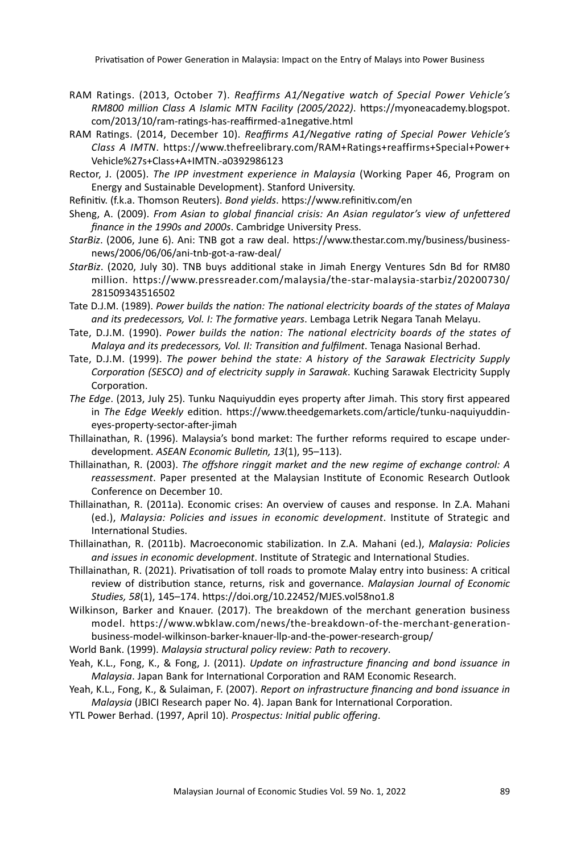Privatisation of Power Generation in Malaysia: Impact on the Entry of Malays into Power Business

- RAM Ratings. (2013, October 7). *Reaffirms A1/Negative watch of Special Power Vehicle's RM800 million Class A Islamic MTN Facility (2005/2022)*. https://myoneacademy.blogspot. com/2013/10/ram-ratings-has-reaffirmed-a1negative.html
- RAM Ratings. (2014, December 10). *Reaffirms A1/Negative rating of Special Power Vehicle's Class A IMTN*. https://www.thefreelibrary.com/RAM+Ratings+reaffirms+Special+Power+ Vehicle%27s+Class+A+IMTN.-a0392986123
- Rector, J. (2005). *The IPP investment experience in Malaysia* (Working Paper 46, Program on Energy and Sustainable Development). Stanford University.
- Refinitiv. (f.k.a. Thomson Reuters). *Bond yields*. https://www.refinitiv.com/en
- Sheng, A. (2009). *From Asian to global financial crisis: An Asian regulator's view of unfettered finance in the 1990s and 2000s*. Cambridge University Press.
- *StarBiz*. (2006, June 6). Ani: TNB got a raw deal. https://www.thestar.com.my/business/businessnews/2006/06/06/ani-tnb-got-a-raw-deal/
- *StarBiz*. (2020, July 30). TNB buys additional stake in Jimah Energy Ventures Sdn Bd for RM80 million. https://www.pressreader.com/malaysia/the-star-malaysia-starbiz/20200730/ 281509343516502
- Tate D.J.M. (1989). *Power builds the nation: The national electricity boards of the states of Malaya and its predecessors, Vol. I: The formative years*. Lembaga Letrik Negara Tanah Melayu.
- Tate, D.J.M. (1990). *Power builds the nation: The national electricity boards of the states of Malaya and its predecessors, Vol. II: Transition and fulfilment*. Tenaga Nasional Berhad.
- Tate, D.J.M. (1999). *The power behind the state: A history of the Sarawak Electricity Supply Corporation (SESCO) and of electricity supply in Sarawak*. Kuching Sarawak Electricity Supply Corporation.
- *The Edge*. (2013, July 25). Tunku Naquiyuddin eyes property after Jimah. This story first appeared in *The Edge Weekly* edition. https://www.theedgemarkets.com/article/tunku-naquiyuddineyes-property-sector-after-jimah
- Thillainathan, R. (1996). Malaysia's bond market: The further reforms required to escape underdevelopment. *ASEAN Economic Bulletin, 13*(1), 95–113).
- Thillainathan, R. (2003). *The offshore ringgit market and the new regime of exchange control: A reassessment*. Paper presented at the Malaysian Institute of Economic Research Outlook Conference on December 10.
- Thillainathan, R. (2011a). Economic crises: An overview of causes and response. In Z.A. Mahani (ed.), *Malaysia: Policies and issues in economic development*. Institute of Strategic and International Studies.
- Thillainathan, R. (2011b). Macroeconomic stabilization. In Z.A. Mahani (ed.), *Malaysia: Policies and issues in economic development*. Institute of Strategic and International Studies.
- Thillainathan, R. (2021). Privatisation of toll roads to promote Malay entry into business: A critical review of distribution stance, returns, risk and governance. *Malaysian Journal of Economic Studies, 58*(1), 145–174. https://doi.org/10.22452/MJES.vol58no1.8
- Wilkinson, Barker and Knauer. (2017). The breakdown of the merchant generation business model. https://www.wbklaw.com/news/the-breakdown-of-the-merchant-generationbusiness-model-wilkinson-barker-knauer-llp-and-the-power-research-group/
- World Bank. (1999). *Malaysia structural policy review: Path to recovery*.
- Yeah, K.L., Fong, K., & Fong, J. (2011). *Update on infrastructure financing and bond issuance in Malaysia*. Japan Bank for International Corporation and RAM Economic Research.
- Yeah, K.L., Fong, K., & Sulaiman, F. (2007). *Report on infrastructure financing and bond issuance in Malaysia* (JBICI Research paper No. 4). Japan Bank for International Corporation.
- YTL Power Berhad. (1997, April 10). *Prospectus: Initial public offering*.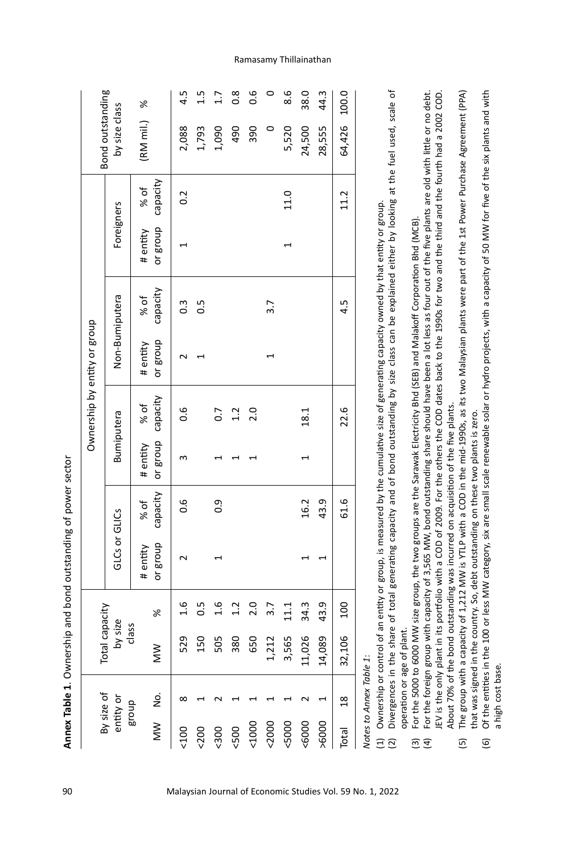| ۱ |
|---|
|   |
|   |
|   |
|   |
|   |
|   |
|   |
| l |
|   |
|   |
|   |
|   |
|   |
|   |
|   |
|   |
|   |
|   |
|   |
|   |
|   |
|   |
|   |
|   |
|   |
|   |
| ï |
|   |
|   |
|   |
|   |
|   |
|   |
|   |
|   |
|   |

| By size of              |                | Total capacity   |                |                      |                  |                               |                   | Ownership by entity or group |                  |                               |      | Bond outstanding |                |
|-------------------------|----------------|------------------|----------------|----------------------|------------------|-------------------------------|-------------------|------------------------------|------------------|-------------------------------|------|------------------|----------------|
| entity or               |                | by size<br>class |                | <b>GLCs or GLICS</b> |                  |                               | <b>Bumiputera</b> |                              | Non-Bumiputera   | Foreigners                    |      | by size class    |                |
| dno.B<br>$\geq$         | 2<br>No        | MW               | ৯              | or group<br># entity | capacity<br>% of | or group capacity<br># entity | % of              | or group<br># entity         | capacity<br>% of | or group capacity<br># entity | % of | (RM mil.) %      |                |
| 500                     |                | 529              | $\frac{6}{1}$  | $\sim$               | 0.6              | m                             | 0.6               |                              | $0.\overline{3}$ |                               | 0.2  | 2,088            | 4.5            |
| 500                     |                | 150              | 0.5            |                      |                  |                               |                   |                              | $\frac{5}{2}$    |                               |      | 1,793            | 1.5            |
| 500                     |                | 505              | 1.6            |                      | 0.9              |                               | $\overline{0}$ .  |                              |                  |                               |      | 1,090            | $\overline{1}$ |
| 500                     |                | 380              | 1.2            |                      |                  |                               | 1.2               |                              |                  |                               |      | 490              | $\frac{8}{2}$  |
| 1000                    |                | 650              | 2.0            |                      |                  |                               | 2.0               |                              |                  |                               |      | 390              | 0.6            |
| 2000                    |                | 1,212            | 3.7            |                      |                  |                               |                   |                              | 3.7              |                               |      | $\circ$          |                |
| <5000                   |                | 3,565            | 11.1           |                      |                  |                               |                   |                              |                  | 1                             | 11.0 | 5,520            | 8.6            |
| 5000                    |                | 11,026           | 34.3           |                      | 16.2             | 1                             | 18.1              |                              |                  |                               |      | 24,500           | 38.0           |
| >6000                   |                | 14,089           | 43.9           |                      | 43.9             |                               |                   |                              |                  |                               |      | 28,555           | 44.3           |
| Total                   | $\frac{8}{18}$ | 32,106           | $\overline{5}$ |                      | 61.6             |                               | 22.6              |                              | 4.5              |                               | 11.2 | 64,426           | 100.0          |
| Natar ta Annav Tahla 1. |                |                  |                |                      |                  |                               |                   |                              |                  |                               |      |                  |                |

NOTES TO ANNEX IADIE 1: *Notes to Annex Table 1*:

Ownership or control of an entity or group, is measured by the cumulative size of generating capacity owned by that entity or group. (1) Ownership or control of an entity or group, is measured by the cumulative size of generating capacity owned by that entity or group.

- đ (2) Divergences in the share of total generating capacity and of bond outstanding by size class can be explained either by looking at the fuel used, scale of Divergences in the share of total generating capacity and of bond outstanding by size class can be explained either by looking at the fuel used, scale operation or age of plant. operation or age of plant.  $\widehat{\Xi} \widehat{\Xi}$ 
	- (3) For the 5000 to 6000 MW size group, the two groups are the Sarawak Electricity Bhd (SEB) and Malakoff Corporation Bhd (MCB). For the 5000 to 6000 MW size group, the two groups are the Sarawak Electricity Bhd (SEB) and Malakoff Corporation Bhd (MCB).
- (4) For the foreign group with capacity of 3,565 MW, bond outstanding share should have been a lot less as four out of the five plants are old with little or no debt. JEV is the only plant in its portfolio with a COD of 2009. For the others the COD dates back to the 1990s for two and the third and the fourth had a 2002 COD. the foreign group with capacity of 3,565 MW, bond outstanding share should have been a lot less as four out of the five plants are old with little or no debt. IEV is the only plant in its portfolio with a COD of 2009. For the others the COD dates back to the 1990s for two and the third and the fourth had a 2002 COD. About 70% of the bond outstanding was incurred on acquisition of the five plants. About 70% of the bond outstanding was incurred on acquisition of the five plants.  $\overline{5}$  $\widehat{a}$ 
	- (5) The group with a capacity of 1,212 MW is YTLP with a COD in the mid-1990s, as its two Malaysian plants were part of the 1st Power Purchase Agreement (PPA) The group with a capacity of 1,212 MW is YTLP with a COD in the mid-1990s, as its two Malaysian plants were part of the 1st Power Purchase Agreement (PPA) that was signed in the country. So, debt outstanding on these two plants is zero. that was signed in the country. So, debt outstanding on these two plants is zero.  $\overline{5}$
- (6) Of the entities in the 100 or less MW category, six are small scale renewable solar or hydro projects, with a capacity of 50 MW for five of the six plants and with Of the entities in the 100 or less MW category, six are small scale renewable solar or hydro projects, with a capacity of 50 MW for five of the six plants and with a high cost base. a high cost base.  $\widehat{\mathbf{e}}$

Ramasamy Thillainathan